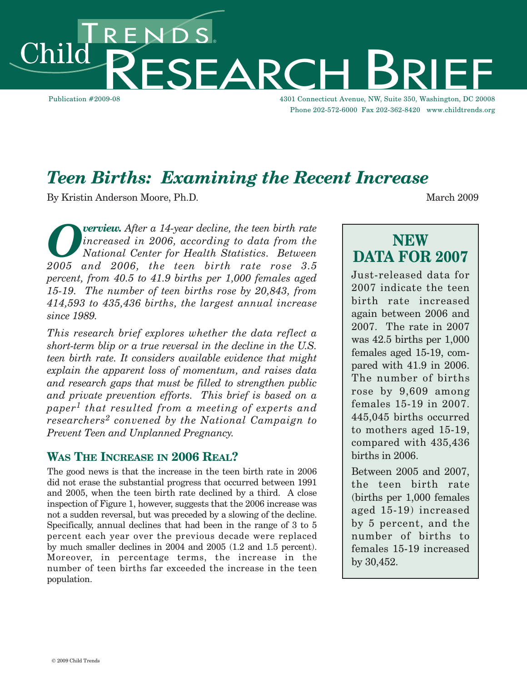NDS.<br>FSFARC hil Publication #2009-08 4301 Connecticut Avenue, NW, Suite 350, Washington, DC 20008

Phone 202-572-6000 Fax 202-362-8420 www.childtrends.org

# *Teen Births: Examining the Recent Increase*

By Kristin Anderson Moore, Ph.D. March 2009

*Overview.* After a 14-year decline, the teen birth rate<br>*National Center for Health Statistics. Between*<br>2005 and 2006 the teen birth rate rose 3.5 *increased in 2006, according to data from the National Center for Health Statistics. Between 2005 and 2006, the teen birth rate rose 3.5 percent, from 40.5 to 41.9 births per 1,000 females aged 15-19. The number of teen births rose by 20,843, from 414,593 to 435,436 births, the largest annual increase since 1989.*

*This research brief explores whether the data reflect a short-term blip or a true reversal in the decline in the U.S. teen birth rate. It considers available evidence that might explain the apparent loss of momentum, and raises data and research gaps that must be filled to strengthen public and private prevention efforts. This brief is based on a paper<sup>1</sup> that resulted from a meeting of experts and researchers<sup>2</sup> convened by the National Campaign to Prevent Teen and Unplanned Pregnancy.*

# **WAS THE INCREASE IN 2006 REAL?**

The good news is that the increase in the teen birth rate in 2006 did not erase the substantial progress that occurred between 1991 and 2005, when the teen birth rate declined by a third. A close inspection of Figure 1, however, suggests that the 2006 increase was not a sudden reversal, but was preceded by a slowing of the decline. Specifically, annual declines that had been in the range of 3 to 5 percent each year over the previous decade were replaced by much smaller declines in 2004 and 2005 (1.2 and 1.5 percent). Moreover, in percentage terms, the increase in the number of teen births far exceeded the increase in the teen population.

# **NEW DATA FOR 2007**

Just-released data for 2007 indicate the teen birth rate increased again between 2006 and 2007. The rate in 2007 was 42.5 births per 1,000 females aged 15-19, compared with 41.9 in 2006. The number of births rose by 9,609 among females 15-19 in 2007. 445,045 births occurred to mothers aged 15-19, compared with 435,436 births in 2006.

Between 2005 and 2007, the teen birth rate (births per 1,000 females aged 15-19) increased by 5 percent, and the number of births to females 15-19 increased by 30,452.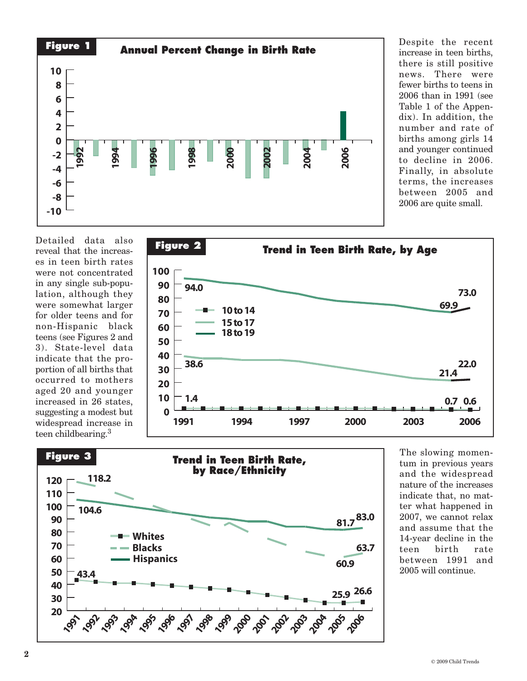

Despite the recent increase in teen births, there is still positive news. There were fewer births to teens in 2006 than in 1991 (see Table 1 of the Appendix). In addition, the number and rate of births among girls 14 and younger continued to decline in 2006. Finally, in absolute terms, the increases between 2005 and 2006 are quite small.

Detailed data also reveal that the increases in teen birth rates were not concentrated in any single sub-population, although they were somewhat larger for older teens and for non-Hispanic black teens (see Figures 2 and 3). State-level data indicate that the proportion of all births that occurred to mothers aged 20 and younger increased in 26 states, suggesting a modest but widespread increase in teen childbearing. 3





The slowing momentum in previous years and the widespread nature of the increases indicate that, no matter what happened in 2007, we cannot relax and assume that the 14-year decline in the teen birth rate between 1991 and 2005 will continue.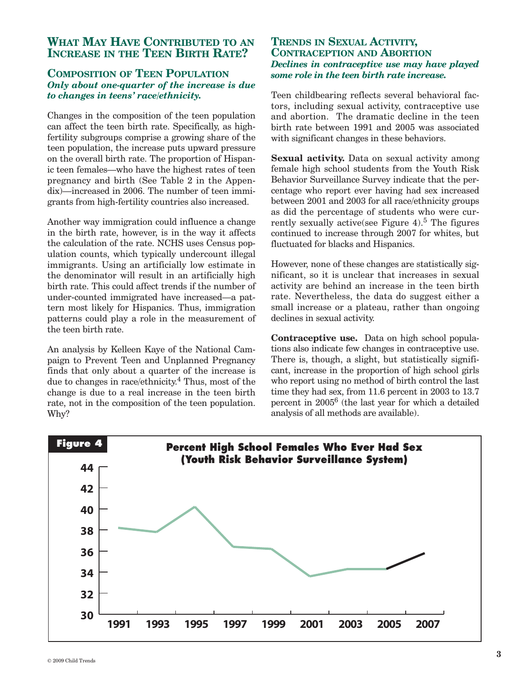### **WHAT MAY HAVE CONTRIBUTED TO AN INCREASE IN THE TEEN BIRTH RATE?**

#### **COMPOSITION OF TEEN POPULATION** *Only about one-quarter of the increase is due to changes in teens' race/ethnicity.*

Changes in the composition of the teen population can affect the teen birth rate. Specifically, as highfertility subgroups comprise a growing share of the teen population, the increase puts upward pressure on the overall birth rate. The proportion of Hispanic teen females—who have the highest rates of teen pregnancy and birth (See Table 2 in the Appendix)—increased in 2006. The number of teen immigrants from high-fertility countries also increased.

Another way immigration could influence a change in the birth rate, however, is in the way it affects the calculation of the rate. NCHS uses Census population counts, which typically undercount illegal immigrants. Using an artificially low estimate in the denominator will result in an artificially high birth rate. This could affect trends if the number of under-counted immigrated have increased—a pattern most likely for Hispanics. Thus, immigration patterns could play a role in the measurement of the teen birth rate.

An analysis by Kelleen Kaye of the National Campaign to Prevent Teen and Unplanned Pregnancy finds that only about a quarter of the increase is due to changes in race/ethnicity. <sup>4</sup> Thus, most of the change is due to a real increase in the teen birth rate, not in the composition of the teen population. Why?

# **TRENDS IN SEXUAL ACTIVITY, CONTRACEPTION AND ABORTION** *Declines in contraceptive use may have played some role in the teen birth rate increase.*

Teen childbearing reflects several behavioral factors, including sexual activity, contraceptive use and abortion. The dramatic decline in the teen birth rate between 1991 and 2005 was associated with significant changes in these behaviors.

**Sexual activity.** Data on sexual activity among female high school students from the Youth Risk Behavior Surveillance Survey indicate that the percentage who report ever having had sex increased between 2001 and 2003 for all race/ethnicity groups as did the percentage of students who were currently sexually active(see Figure 4). <sup>5</sup> The figures continued to increase through 2007 for whites, but fluctuated for blacks and Hispanics.

However, none of these changes are statistically significant, so it is unclear that increases in sexual activity are behind an increase in the teen birth rate. Nevertheless, the data do suggest either a small increase or a plateau, rather than ongoing declines in sexual activity.

**Contraceptive use.** Data on high school populations also indicate few changes in contraceptive use. There is, though, a slight, but statistically significant, increase in the proportion of high school girls who report using no method of birth control the last time they had sex, from 11.6 percent in 2003 to 13.7 percent in 20056 (the last year for which a detailed analysis of all methods are available).

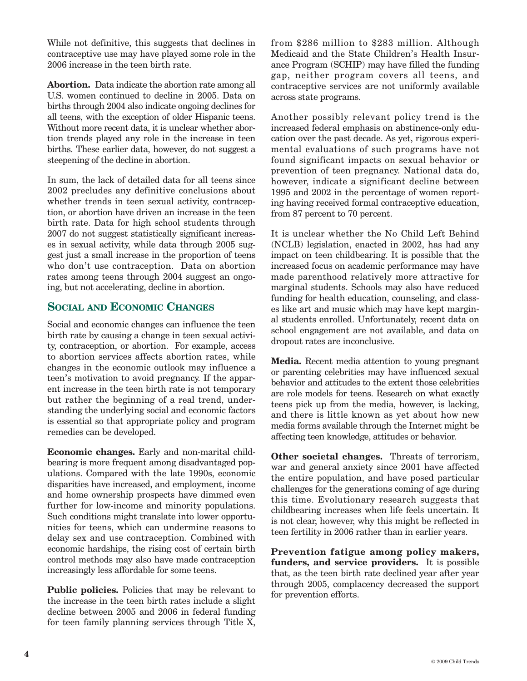While not definitive, this suggests that declines in contraceptive use may have played some role in the 2006 increase in the teen birth rate.

**Abortion.** Data indicate the abortion rate among all U.S. women continued to decline in 2005. Data on births through 2004 also indicate ongoing declines for all teens, with the exception of older Hispanic teens. Without more recent data, it is unclear whether abortion trends played any role in the increase in teen births. These earlier data, however, do not suggest a steepening of the decline in abortion.

In sum, the lack of detailed data for all teens since 2002 precludes any definitive conclusions about whether trends in teen sexual activity, contraception, or abortion have driven an increase in the teen birth rate. Data for high school students through 2007 do not suggest statistically significant increases in sexual activity, while data through 2005 suggest just a small increase in the proportion of teens who don't use contraception. Data on abortion rates among teens through 2004 suggest an ongoing, but not accelerating, decline in abortion.

## **SOCIAL AND ECONOMIC CHANGES**

Social and economic changes can influence the teen birth rate by causing a change in teen sexual activity, contraception, or abortion. For example, access to abortion services affects abortion rates, while changes in the economic outlook may influence a teen's motivation to avoid pregnancy. If the apparent increase in the teen birth rate is not temporary but rather the beginning of a real trend, understanding the underlying social and economic factors is essential so that appropriate policy and program remedies can be developed.

**Economic changes.** Early and non-marital childbearing is more frequent among disadvantaged populations. Compared with the late 1990s, economic disparities have increased, and employment, income and home ownership prospects have dimmed even further for low-income and minority populations. Such conditions might translate into lower opportunities for teens, which can undermine reasons to delay sex and use contraception. Combined with economic hardships, the rising cost of certain birth control methods may also have made contraception increasingly less affordable for some teens.

**Public policies.** Policies that may be relevant to the increase in the teen birth rates include a slight decline between 2005 and 2006 in federal funding for teen family planning services through Title X,

from \$286 million to \$283 million. Although Medicaid and the State Children's Health Insurance Program (SCHIP) may have filled the funding gap, neither program covers all teens, and contraceptive services are not uniformly available across state programs.

Another possibly relevant policy trend is the increased federal emphasis on abstinence-only education over the past decade. As yet, rigorous experimental evaluations of such programs have not found significant impacts on sexual behavior or prevention of teen pregnancy. National data do, however, indicate a significant decline between 1995 and 2002 in the percentage of women reporting having received formal contraceptive education, from 87 percent to 70 percent.

It is unclear whether the No Child Left Behind (NCLB) legislation, enacted in 2002, has had any impact on teen childbearing. It is possible that the increased focus on academic performance may have made parenthood relatively more attractive for marginal students. Schools may also have reduced funding for health education, counseling, and classes like art and music which may have kept marginal students enrolled. Unfortunately, recent data on school engagement are not available, and data on dropout rates are inconclusive.

**Media.** Recent media attention to young pregnant or parenting celebrities may have influenced sexual behavior and attitudes to the extent those celebrities are role models for teens. Research on what exactly teens pick up from the media, however, is lacking, and there is little known as yet about how new media forms available through the Internet might be affecting teen knowledge, attitudes or behavior.

**Other societal changes.** Threats of terrorism, war and general anxiety since 2001 have affected the entire population, and have posed particular challenges for the generations coming of age during this time. Evolutionary research suggests that childbearing increases when life feels uncertain. It is not clear, however, why this might be reflected in teen fertility in 2006 rather than in earlier years.

**Prevention fatigue among policy makers, funders, and service providers.** It is possible that, as the teen birth rate declined year after year through 2005, complacency decreased the support for prevention efforts.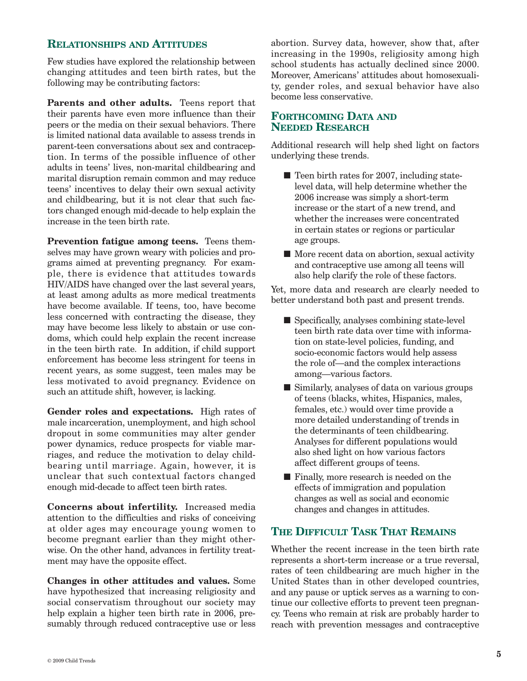### **RELATIONSHIPS AND ATTITUDES**

Few studies have explored the relationship between changing attitudes and teen birth rates, but the following may be contributing factors:

**Parents and other adults.** Teens report that their parents have even more influence than their peers or the media on their sexual behaviors. There is limited national data available to assess trends in parent-teen conversations about sex and contraception. In terms of the possible influence of other adults in teens' lives, non-marital childbearing and marital disruption remain common and may reduce teens' incentives to delay their own sexual activity and childbearing, but it is not clear that such factors changed enough mid-decade to help explain the increase in the teen birth rate.

**Prevention fatigue among teens.** Teens themselves may have grown weary with policies and programs aimed at preventing pregnancy. For example, there is evidence that attitudes towards HIV/AIDS have changed over the last several years, at least among adults as more medical treatments have become available. If teens, too, have become less concerned with contracting the disease, they may have become less likely to abstain or use condoms, which could help explain the recent increase in the teen birth rate. In addition, if child support enforcement has become less stringent for teens in recent years, as some suggest, teen males may be less motivated to avoid pregnancy. Evidence on such an attitude shift, however, is lacking.

**Gender roles and expectations.** High rates of male incarceration, unemployment, and high school dropout in some communities may alter gender power dynamics, reduce prospects for viable marriages, and reduce the motivation to delay childbearing until marriage. Again, however, it is unclear that such contextual factors changed enough mid-decade to affect teen birth rates.

**Concerns about infertility.** Increased media attention to the difficulties and risks of conceiving at older ages may encourage young women to become pregnant earlier than they might otherwise. On the other hand, advances in fertility treatment may have the opposite effect.

**Changes in other attitudes and values.** Some have hypothesized that increasing religiosity and social conservatism throughout our society may help explain a higher teen birth rate in 2006, presumably through reduced contraceptive use or less abortion. Survey data, however, show that, after increasing in the 1990s, religiosity among high school students has actually declined since 2000. Moreover, Americans' attitudes about homosexuality, gender roles, and sexual behavior have also become less conservative.

### **FORTHCOMING DATA AND NEEDED RESEARCH**

Additional research will help shed light on factors underlying these trends.

- Teen birth rates for 2007, including statelevel data, will help determine whether the 2006 increase was simply a short-term increase or the start of a new trend, and whether the increases were concentrated in certain states or regions or particular age groups.
- More recent data on abortion, sexual activity and contraceptive use among all teens will also help clarify the role of these factors.

Yet, more data and research are clearly needed to better understand both past and present trends.

- Specifically, analyses combining state-level teen birth rate data over time with information on state-level policies, funding, and socio-economic factors would help assess the role of—and the complex interactions among—various factors.
- Similarly, analyses of data on various groups of teens (blacks, whites, Hispanics, males, females, etc.) would over time provide a more detailed understanding of trends in the determinants of teen childbearing. Analyses for different populations would also shed light on how various factors affect different groups of teens.
- Finally, more research is needed on the effects of immigration and population changes as well as social and economic changes and changes in attitudes.

# **THE DIFFICULT TASK THAT REMAINS**

Whether the recent increase in the teen birth rate represents a short-term increase or a true reversal, rates of teen childbearing are much higher in the United States than in other developed countries, and any pause or uptick serves as a warning to continue our collective efforts to prevent teen pregnancy. Teens who remain at risk are probably harder to reach with prevention messages and contraceptive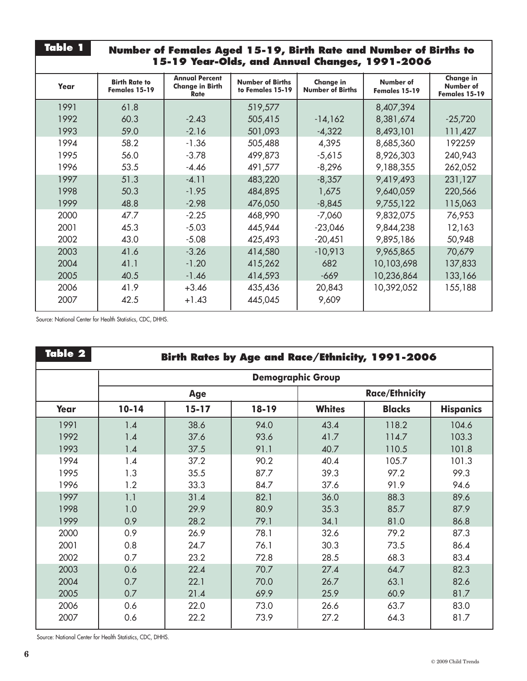| <b>Table 1</b><br>Number of Females Aged 15-19, Birth Rate and Number of Births to<br>15-19 Year-Olds, and Annual Changes, 1991-2006 |                                       |                                                         |                                             |                                             |                            |                                                |  |  |  |
|--------------------------------------------------------------------------------------------------------------------------------------|---------------------------------------|---------------------------------------------------------|---------------------------------------------|---------------------------------------------|----------------------------|------------------------------------------------|--|--|--|
| Year                                                                                                                                 | <b>Birth Rate to</b><br>Females 15-19 | <b>Annual Percent</b><br><b>Change in Birth</b><br>Rate | <b>Number of Births</b><br>to Females 15-19 | <b>Change in</b><br><b>Number of Births</b> | Number of<br>Females 15-19 | <b>Change in</b><br>Number of<br>Females 15-19 |  |  |  |
| 1991                                                                                                                                 | 61.8                                  |                                                         | 519,577                                     |                                             | 8,407,394                  |                                                |  |  |  |
| 1992                                                                                                                                 | 60.3                                  | $-2.43$                                                 | 505,415                                     | $-14,162$                                   | 8,381,674                  | $-25,720$                                      |  |  |  |
| 1993                                                                                                                                 | 59.0                                  | $-2.16$                                                 | 501,093                                     | $-4,322$                                    | 8,493,101                  | 111,427                                        |  |  |  |
| 1994                                                                                                                                 | 58.2                                  | $-1.36$                                                 | 505,488                                     | 4,395                                       | 8,685,360                  | 192259                                         |  |  |  |
| 1995                                                                                                                                 | 56.0                                  | $-3.78$                                                 | 499,873                                     | $-5,615$                                    | 8,926,303                  | 240,943                                        |  |  |  |
| 1996                                                                                                                                 | 53.5                                  | $-4.46$                                                 | 491,577                                     | $-8,296$                                    | 9,188,355                  | 262,052                                        |  |  |  |
| 1997                                                                                                                                 | 51.3                                  | $-4.11$                                                 | 483,220                                     | $-8,357$                                    | 9,419,493                  | 231,127                                        |  |  |  |
| 1998                                                                                                                                 | 50.3                                  | $-1.95$                                                 | 484,895                                     | 1,675                                       | 9,640,059                  | 220,566                                        |  |  |  |
| 1999                                                                                                                                 | 48.8                                  | $-2.98$                                                 | 476,050                                     | $-8,845$                                    | 9,755,122                  | 115,063                                        |  |  |  |
| 2000                                                                                                                                 | 47.7                                  | $-2.25$                                                 | 468,990                                     | $-7,060$                                    | 9,832,075                  | 76,953                                         |  |  |  |
| 2001                                                                                                                                 | 45.3                                  | $-5.03$                                                 | 445,944                                     | $-23,046$                                   | 9,844,238                  | 12,163                                         |  |  |  |
| 2002                                                                                                                                 | 43.0                                  | $-5.08$                                                 | 425,493                                     | $-20,451$                                   | 9,895,186                  | 50,948                                         |  |  |  |
| 2003                                                                                                                                 | 41.6                                  | $-3.26$                                                 | 414,580                                     | $-10,913$                                   | 9,965,865                  | 70,679                                         |  |  |  |
| 2004                                                                                                                                 | 41.1                                  | $-1.20$                                                 | 415,262                                     | 682                                         | 10,103,698                 | 137,833                                        |  |  |  |
| 2005                                                                                                                                 | 40.5                                  | $-1.46$                                                 | 414,593                                     | $-669$                                      | 10,236,864                 | 133,166                                        |  |  |  |
| 2006                                                                                                                                 | 41.9                                  | $+3.46$                                                 | 435,436                                     | 20,843                                      | 10,392,052                 | 155,188                                        |  |  |  |
| 2007                                                                                                                                 | 42.5                                  | $+1.43$                                                 | 445,045                                     | 9,609                                       |                            |                                                |  |  |  |

Source: National Center for Health Statistics, CDC, DHHS.

| Table 2 | Birth Rates by Age and Race/Ethnicity, 1991-2006 |           |           |                       |               |                  |  |  |  |
|---------|--------------------------------------------------|-----------|-----------|-----------------------|---------------|------------------|--|--|--|
|         | <b>Demographic Group</b>                         |           |           |                       |               |                  |  |  |  |
|         | Age                                              |           |           | <b>Race/Ethnicity</b> |               |                  |  |  |  |
| Year    | $10 - 14$                                        | $15 - 17$ | $18 - 19$ | <b>Whites</b>         | <b>Blacks</b> | <b>Hispanics</b> |  |  |  |
| 1991    | 1.4                                              | 38.6      | 94.0      | 43.4                  | 118.2         | 104.6            |  |  |  |
| 1992    | 1.4                                              | 37.6      | 93.6      | 41.7                  | 114.7         | 103.3            |  |  |  |
| 1993    | 1.4                                              | 37.5      | 91.1      | 40.7                  | 110.5         | 101.8            |  |  |  |
| 1994    | 1.4                                              | 37.2      | 90.2      | 40.4                  | 105.7         | 101.3            |  |  |  |
| 1995    | 1.3                                              | 35.5      | 87.7      | 39.3                  | 97.2          | 99.3             |  |  |  |
| 1996    | 1.2                                              | 33.3      | 84.7      | 37.6                  | 91.9          | 94.6             |  |  |  |
| 1997    | 1.1                                              | 31.4      | 82.1      | 36.0                  | 88.3          | 89.6             |  |  |  |
| 1998    | 1.0                                              | 29.9      | 80.9      | 35.3                  | 85.7          | 87.9             |  |  |  |
| 1999    | 0.9                                              | 28.2      | 79.1      | 34.1                  | 81.0          | 86.8             |  |  |  |
| 2000    | 0.9                                              | 26.9      | 78.1      | 32.6                  | 79.2          | 87.3             |  |  |  |
| 2001    | 0.8                                              | 24.7      | 76.1      | 30.3                  | 73.5          | 86.4             |  |  |  |
| 2002    | 0.7                                              | 23.2      | 72.8      | 28.5                  | 68.3          | 83.4             |  |  |  |
| 2003    | 0.6                                              | 22.4      | 70.7      | 27.4                  | 64.7          | 82.3             |  |  |  |
| 2004    | 0.7                                              | 22.1      | 70.0      | 26.7                  | 63.1          | 82.6             |  |  |  |
| 2005    | 0.7                                              | 21.4      | 69.9      | 25.9                  | 60.9          | 81.7             |  |  |  |
| 2006    | 0.6                                              | 22.0      | 73.0      | 26.6                  | 63.7          | 83.0             |  |  |  |
| 2007    | 0.6                                              | 22.2      | 73.9      | 27.2                  | 64.3          | 81.7             |  |  |  |

Source: National Center for Health Statistics, CDC, DHHS.